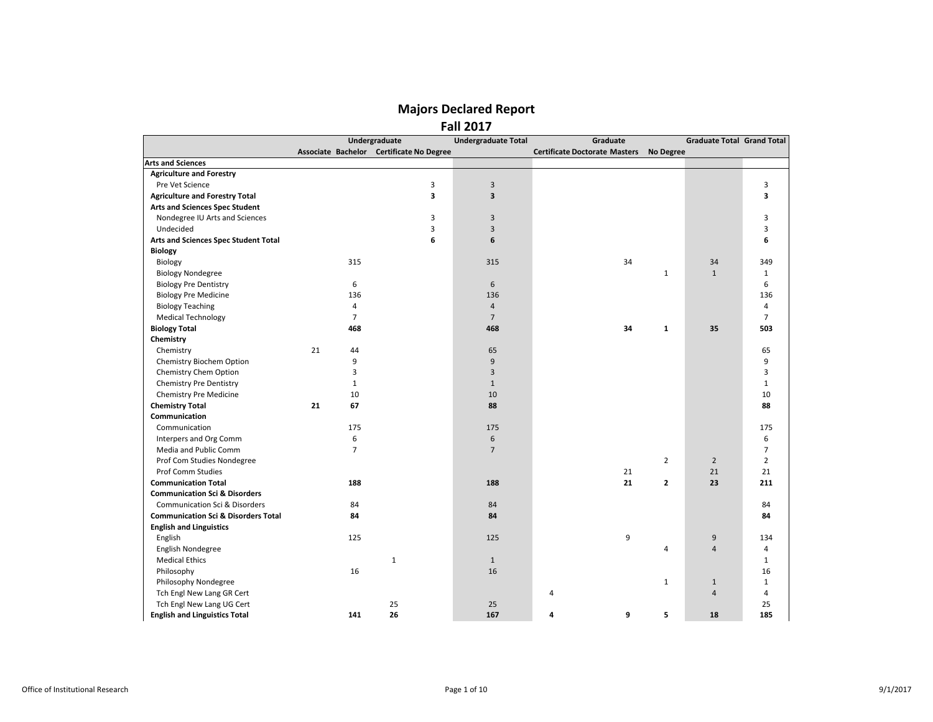|                                                |                | Undergraduate                            | <b>Undergraduate Total</b> | Graduate                             |                | <b>Graduate Total Grand Total</b> |                |
|------------------------------------------------|----------------|------------------------------------------|----------------------------|--------------------------------------|----------------|-----------------------------------|----------------|
|                                                |                | Associate Bachelor Certificate No Degree |                            | <b>Certificate Doctorate Masters</b> | No Degree      |                                   |                |
| <b>Arts and Sciences</b>                       |                |                                          |                            |                                      |                |                                   |                |
| <b>Agriculture and Forestry</b>                |                |                                          |                            |                                      |                |                                   |                |
| Pre Vet Science                                |                | 3                                        | 3                          |                                      |                |                                   | 3              |
| <b>Agriculture and Forestry Total</b>          |                | 3                                        | $\overline{\mathbf{3}}$    |                                      |                |                                   | 3              |
| <b>Arts and Sciences Spec Student</b>          |                |                                          |                            |                                      |                |                                   |                |
| Nondegree IU Arts and Sciences                 |                | 3                                        | 3                          |                                      |                |                                   | 3              |
| Undecided                                      |                | 3                                        | $\overline{3}$             |                                      |                |                                   | 3              |
| Arts and Sciences Spec Student Total           |                | 6                                        | 6                          |                                      |                |                                   | 6              |
| <b>Biology</b>                                 |                |                                          |                            |                                      |                |                                   |                |
| Biology                                        | 315            |                                          | 315                        | 34                                   |                | 34                                | 349            |
| <b>Biology Nondegree</b>                       |                |                                          |                            |                                      | $\mathbf{1}$   | $\mathbf{1}$                      | $\mathbf{1}$   |
| <b>Biology Pre Dentistry</b>                   | 6              |                                          | $6\,$                      |                                      |                |                                   | 6              |
| <b>Biology Pre Medicine</b>                    | 136            |                                          | 136                        |                                      |                |                                   | 136            |
| <b>Biology Teaching</b>                        | $\overline{4}$ |                                          | $\overline{4}$             |                                      |                |                                   | 4              |
| <b>Medical Technology</b>                      | $\overline{7}$ |                                          | $\overline{7}$             |                                      |                |                                   | $\overline{7}$ |
| <b>Biology Total</b>                           | 468            |                                          | 468                        | 34                                   | $\mathbf{1}$   | 35                                | 503            |
| Chemistry                                      |                |                                          |                            |                                      |                |                                   |                |
| Chemistry                                      | 21<br>44       |                                          | 65                         |                                      |                |                                   | 65             |
| Chemistry Biochem Option                       | 9              |                                          | $\overline{9}$             |                                      |                |                                   | 9              |
| Chemistry Chem Option                          | 3              |                                          | 3                          |                                      |                |                                   | 3              |
| <b>Chemistry Pre Dentistry</b>                 | $\mathbf{1}$   |                                          | $\mathbf{1}$               |                                      |                |                                   | $\mathbf{1}$   |
| <b>Chemistry Pre Medicine</b>                  | 10             |                                          | 10                         |                                      |                |                                   | 10             |
| <b>Chemistry Total</b>                         | 67<br>21       |                                          | 88                         |                                      |                |                                   | 88             |
| Communication                                  |                |                                          |                            |                                      |                |                                   |                |
| Communication                                  | 175            |                                          | 175                        |                                      |                |                                   | 175            |
| Interpers and Org Comm                         | 6              |                                          | 6                          |                                      |                |                                   | 6              |
| Media and Public Comm                          | $\overline{7}$ |                                          | $\overline{7}$             |                                      |                |                                   | $\overline{7}$ |
| Prof Com Studies Nondegree                     |                |                                          |                            |                                      | $\mathbf 2$    | $\overline{2}$                    | $\overline{2}$ |
| <b>Prof Comm Studies</b>                       |                |                                          |                            | 21                                   |                | 21                                | 21             |
| <b>Communication Total</b>                     | 188            |                                          | 188                        | 21                                   | $\overline{2}$ | 23                                | 211            |
| <b>Communication Sci &amp; Disorders</b>       |                |                                          |                            |                                      |                |                                   |                |
| <b>Communication Sci &amp; Disorders</b>       | 84             |                                          | 84                         |                                      |                |                                   | 84             |
| <b>Communication Sci &amp; Disorders Total</b> | 84             |                                          | 84                         |                                      |                |                                   | 84             |
| <b>English and Linguistics</b>                 |                |                                          |                            |                                      |                |                                   |                |
| English                                        | 125            |                                          | 125                        | 9                                    |                | 9                                 | 134            |
| English Nondegree                              |                |                                          |                            |                                      | 4              | 4                                 | 4              |
| <b>Medical Ethics</b>                          |                | $\mathbf{1}$                             | $\mathbf{1}$               |                                      |                |                                   | $\mathbf{1}$   |
| Philosophy                                     | 16             |                                          | 16                         |                                      |                |                                   | 16             |
| Philosophy Nondegree                           |                |                                          |                            |                                      | $\mathbf{1}$   | $\mathbf{1}$                      | $\mathbf{1}$   |
| Tch Engl New Lang GR Cert                      |                |                                          |                            | 4                                    |                | 4                                 | 4              |
| Tch Engl New Lang UG Cert                      |                | 25                                       | 25                         |                                      |                |                                   | 25             |
| <b>English and Linguistics Total</b>           | 141            | 26                                       | 167                        | 9<br>4                               | 5              | 18                                | 185            |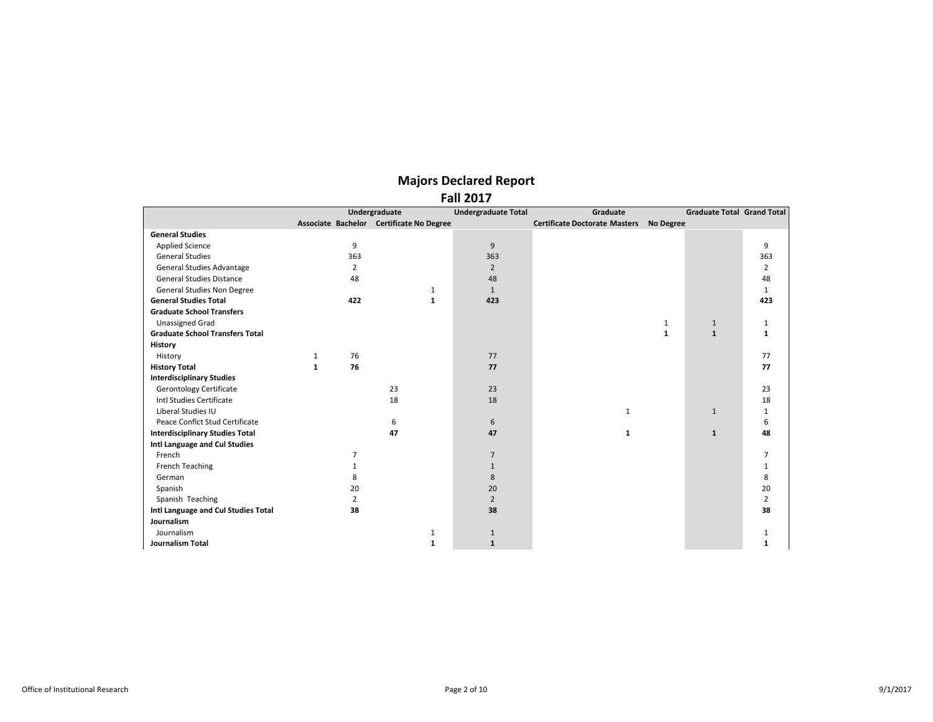|                                        |                | Undergraduate                            | <b>Undergraduate Total</b> | Graduate                             |              | <b>Graduate Total Grand Total</b> |                |
|----------------------------------------|----------------|------------------------------------------|----------------------------|--------------------------------------|--------------|-----------------------------------|----------------|
|                                        |                | Associate Bachelor Certificate No Degree |                            | <b>Certificate Doctorate Masters</b> | No Degree    |                                   |                |
| <b>General Studies</b>                 |                |                                          |                            |                                      |              |                                   |                |
| <b>Applied Science</b>                 | 9              |                                          | 9                          |                                      |              |                                   | 9              |
| <b>General Studies</b>                 | 363            |                                          | 363                        |                                      |              |                                   | 363            |
| General Studies Advantage              | $\overline{2}$ |                                          | $\overline{2}$             |                                      |              |                                   | $\overline{2}$ |
| <b>General Studies Distance</b>        | 48             |                                          | 48                         |                                      |              |                                   | 48             |
| General Studies Non Degree             |                | 1                                        | $\mathbf{1}$               |                                      |              |                                   | $\mathbf{1}$   |
| <b>General Studies Total</b>           | 422            | $\mathbf{1}$                             | 423                        |                                      |              |                                   | 423            |
| <b>Graduate School Transfers</b>       |                |                                          |                            |                                      |              |                                   |                |
| <b>Unassigned Grad</b>                 |                |                                          |                            |                                      | $\mathbf{1}$ | $\mathbf{1}$                      | 1              |
| <b>Graduate School Transfers Total</b> |                |                                          |                            |                                      | $\mathbf{1}$ | $\mathbf{1}$                      | $\mathbf{1}$   |
| <b>History</b>                         |                |                                          |                            |                                      |              |                                   |                |
| History                                | 76<br>1        |                                          | 77                         |                                      |              |                                   | 77             |
| <b>History Total</b>                   | 76<br>1        |                                          | 77                         |                                      |              |                                   | 77             |
| <b>Interdisciplinary Studies</b>       |                |                                          |                            |                                      |              |                                   |                |
| <b>Gerontology Certificate</b>         |                | 23                                       | 23                         |                                      |              |                                   | 23             |
| Intl Studies Certificate               |                | 18                                       | 18                         |                                      |              |                                   | 18             |
| Liberal Studies IU                     |                |                                          |                            | 1                                    |              | $\mathbf{1}$                      | $\mathbf{1}$   |
| Peace Conflct Stud Certificate         |                | 6                                        | 6                          |                                      |              |                                   | 6              |
| <b>Interdisciplinary Studies Total</b> |                | 47                                       | 47                         | 1                                    |              | $\mathbf{1}$                      | 48             |
| Intl Language and Cul Studies          |                |                                          |                            |                                      |              |                                   |                |
| French                                 | 7              |                                          | $\overline{7}$             |                                      |              |                                   | $\overline{7}$ |
| <b>French Teaching</b>                 |                |                                          | $\mathbf{1}$               |                                      |              |                                   | 1              |
| German                                 | 8              |                                          | 8                          |                                      |              |                                   | 8              |
| Spanish                                | 20             |                                          | 20                         |                                      |              |                                   | 20             |
| Spanish Teaching                       | 2              |                                          | $\overline{2}$             |                                      |              |                                   | $\overline{2}$ |
| Intl Language and Cul Studies Total    | 38             |                                          | 38                         |                                      |              |                                   | 38             |
| Journalism                             |                |                                          |                            |                                      |              |                                   |                |
| Journalism                             |                | $\mathbf{1}$                             | 1                          |                                      |              |                                   | 1              |
| <b>Journalism Total</b>                |                | 1                                        | $\mathbf{1}$               |                                      |              |                                   | 1              |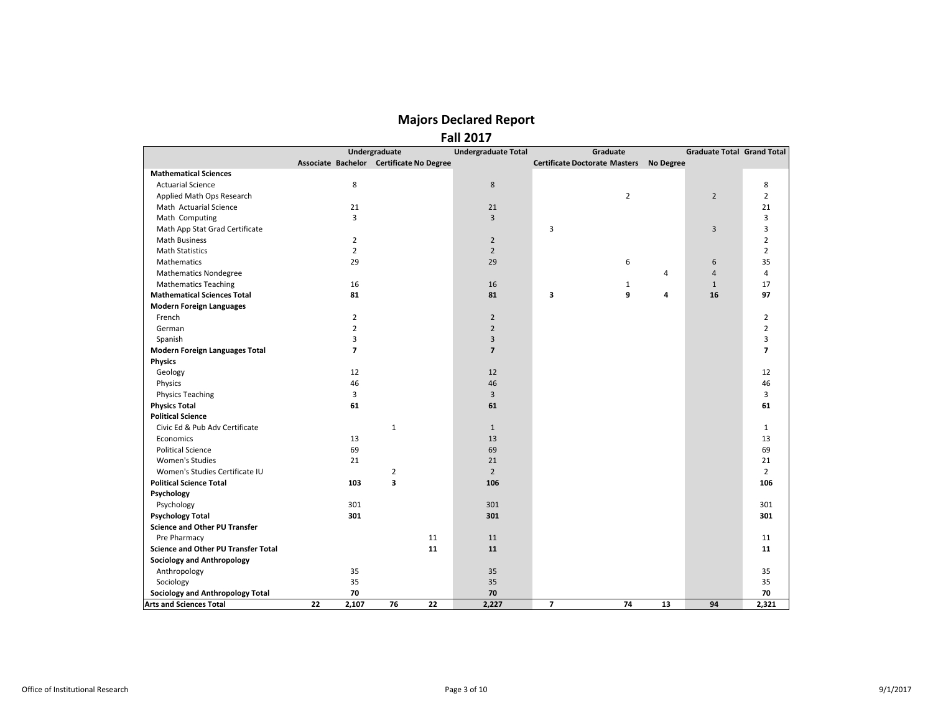|                                            |                          |                                          | 1 GH 4017                  |                                         |    |                                   |                |
|--------------------------------------------|--------------------------|------------------------------------------|----------------------------|-----------------------------------------|----|-----------------------------------|----------------|
|                                            |                          | Undergraduate                            | <b>Undergraduate Total</b> | Graduate                                |    | <b>Graduate Total Grand Total</b> |                |
|                                            |                          | Associate Bachelor Certificate No Degree |                            | Certificate Doctorate Masters No Degree |    |                                   |                |
| <b>Mathematical Sciences</b>               |                          |                                          |                            |                                         |    |                                   |                |
| <b>Actuarial Science</b>                   | 8                        |                                          | 8                          |                                         |    |                                   | 8              |
| Applied Math Ops Research                  |                          |                                          |                            | $\overline{2}$                          |    | $\overline{2}$                    | $\overline{2}$ |
| Math Actuarial Science                     | 21                       |                                          | 21                         |                                         |    |                                   | 21             |
| Math Computing                             | $\overline{3}$           |                                          | 3                          |                                         |    |                                   | 3              |
| Math App Stat Grad Certificate             |                          |                                          |                            | 3                                       |    | 3                                 | 3              |
| <b>Math Business</b>                       | $\overline{2}$           |                                          | $\overline{2}$             |                                         |    |                                   | $\overline{2}$ |
| <b>Math Statistics</b>                     | $\overline{2}$           |                                          | $\overline{2}$             |                                         |    |                                   | $\overline{2}$ |
| <b>Mathematics</b>                         | 29                       |                                          | 29                         | 6                                       |    | 6                                 | 35             |
| <b>Mathematics Nondegree</b>               |                          |                                          |                            |                                         | 4  | 4                                 | 4              |
| <b>Mathematics Teaching</b>                | 16                       |                                          | 16                         | $\mathbf{1}$                            |    | $\mathbf{1}$                      | 17             |
| <b>Mathematical Sciences Total</b>         | 81                       |                                          | 81                         | 3<br>9                                  | 4  | 16                                | 97             |
| <b>Modern Foreign Languages</b>            |                          |                                          |                            |                                         |    |                                   |                |
| French                                     | $\overline{2}$           |                                          | $\overline{2}$             |                                         |    |                                   | $\overline{2}$ |
| German                                     | $\overline{2}$           |                                          | $\overline{2}$             |                                         |    |                                   | $\overline{2}$ |
| Spanish                                    | 3                        |                                          | $\overline{3}$             |                                         |    |                                   | 3              |
| <b>Modern Foreign Languages Total</b>      | $\overline{\phantom{a}}$ |                                          | $\overline{\phantom{a}}$   |                                         |    |                                   | $\overline{7}$ |
| <b>Physics</b>                             |                          |                                          |                            |                                         |    |                                   |                |
| Geology                                    | 12                       |                                          | 12                         |                                         |    |                                   | 12             |
| Physics                                    | 46                       |                                          | 46                         |                                         |    |                                   | 46             |
| <b>Physics Teaching</b>                    | 3                        |                                          | 3                          |                                         |    |                                   | 3              |
| <b>Physics Total</b>                       | 61                       |                                          | 61                         |                                         |    |                                   | 61             |
| <b>Political Science</b>                   |                          |                                          |                            |                                         |    |                                   |                |
| Civic Ed & Pub Adv Certificate             |                          | $\mathbf{1}$                             | $\mathbf{1}$               |                                         |    |                                   | $\mathbf{1}$   |
| Economics                                  | 13                       |                                          | 13                         |                                         |    |                                   | 13             |
| <b>Political Science</b>                   | 69                       |                                          | 69                         |                                         |    |                                   | 69             |
| Women's Studies                            | 21                       |                                          | 21                         |                                         |    |                                   | 21             |
| Women's Studies Certificate IU             |                          | $\overline{2}$                           | $\overline{2}$             |                                         |    |                                   | $\overline{2}$ |
| <b>Political Science Total</b>             | 103                      | 3                                        | 106                        |                                         |    |                                   | 106            |
| Psychology                                 |                          |                                          |                            |                                         |    |                                   |                |
| Psychology                                 | 301                      |                                          | 301                        |                                         |    |                                   | 301            |
| <b>Psychology Total</b>                    | 301                      |                                          | 301                        |                                         |    |                                   | 301            |
| <b>Science and Other PU Transfer</b>       |                          |                                          |                            |                                         |    |                                   |                |
|                                            |                          | 11                                       |                            |                                         |    |                                   |                |
| Pre Pharmacy                               |                          |                                          | 11                         |                                         |    |                                   | 11             |
| <b>Science and Other PU Transfer Total</b> |                          | 11                                       | 11                         |                                         |    |                                   | 11             |
| <b>Sociology and Anthropology</b>          |                          |                                          |                            |                                         |    |                                   |                |
| Anthropology                               | 35                       |                                          | 35                         |                                         |    |                                   | 35             |
| Sociology                                  | 35                       |                                          | 35                         |                                         |    |                                   | 35             |
| <b>Sociology and Anthropology Total</b>    | 70                       |                                          | 70                         |                                         |    |                                   | 70             |
| <b>Arts and Sciences Total</b>             | 22<br>2,107              | 76<br>22                                 | 2,227                      | $\overline{7}$<br>74                    | 13 | 94                                | 2,321          |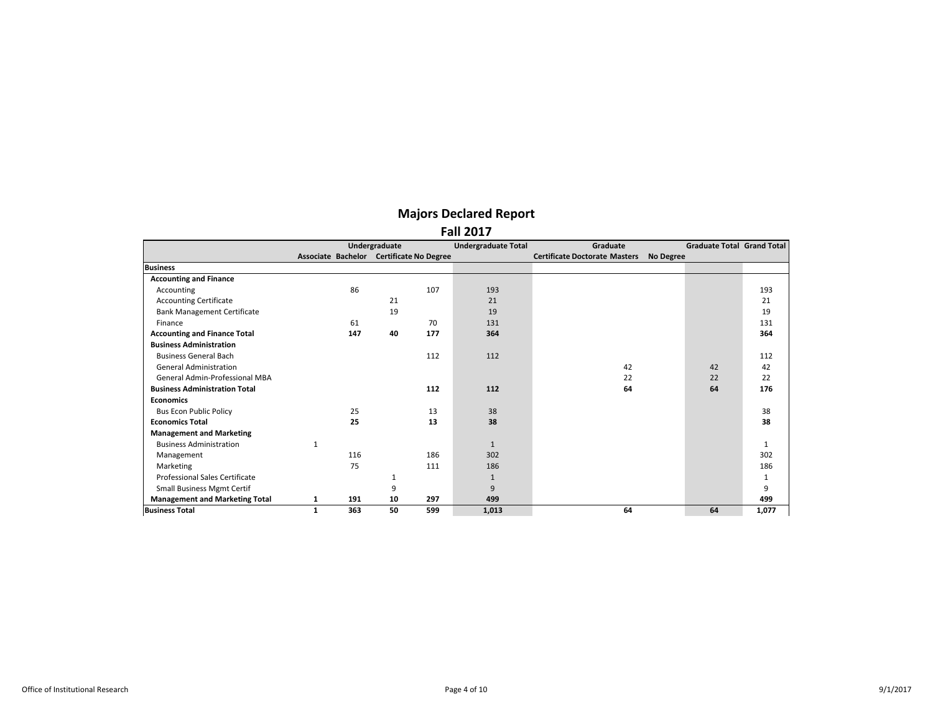|                                       |                                          | Undergraduate |     | <b>Undergraduate Total</b> | Graduate                             |                  | <b>Graduate Total Grand Total</b> |              |
|---------------------------------------|------------------------------------------|---------------|-----|----------------------------|--------------------------------------|------------------|-----------------------------------|--------------|
|                                       | Associate Bachelor Certificate No Degree |               |     |                            | <b>Certificate Doctorate Masters</b> | <b>No Degree</b> |                                   |              |
| <b>Business</b>                       |                                          |               |     |                            |                                      |                  |                                   |              |
| <b>Accounting and Finance</b>         |                                          |               |     |                            |                                      |                  |                                   |              |
| Accounting                            | 86                                       |               | 107 | 193                        |                                      |                  |                                   | 193          |
| <b>Accounting Certificate</b>         |                                          | 21            |     | 21                         |                                      |                  |                                   | 21           |
| <b>Bank Management Certificate</b>    |                                          | 19            |     | 19                         |                                      |                  |                                   | 19           |
| Finance                               | 61                                       |               | 70  | 131                        |                                      |                  |                                   | 131          |
| <b>Accounting and Finance Total</b>   | 147                                      | 40            | 177 | 364                        |                                      |                  |                                   | 364          |
| <b>Business Administration</b>        |                                          |               |     |                            |                                      |                  |                                   |              |
| <b>Business General Bach</b>          |                                          |               | 112 | 112                        |                                      |                  |                                   | 112          |
| <b>General Administration</b>         |                                          |               |     |                            | 42                                   |                  | 42                                | 42           |
| General Admin-Professional MBA        |                                          |               |     |                            | 22                                   |                  | 22                                | 22           |
| <b>Business Administration Total</b>  |                                          |               | 112 | 112                        | 64                                   |                  | 64                                | 176          |
| <b>Economics</b>                      |                                          |               |     |                            |                                      |                  |                                   |              |
| <b>Bus Econ Public Policy</b>         | 25                                       |               | 13  | 38                         |                                      |                  |                                   | 38           |
| <b>Economics Total</b>                | 25                                       |               | 13  | 38                         |                                      |                  |                                   | 38           |
| <b>Management and Marketing</b>       |                                          |               |     |                            |                                      |                  |                                   |              |
| <b>Business Administration</b>        |                                          |               |     | $\mathbf{1}$               |                                      |                  |                                   | $\mathbf{1}$ |
| Management                            | 116                                      |               | 186 | 302                        |                                      |                  |                                   | 302          |
| Marketing                             | 75                                       |               | 111 | 186                        |                                      |                  |                                   | 186          |
| Professional Sales Certificate        |                                          | 1             |     | $\mathbf{1}$               |                                      |                  |                                   | 1            |
| <b>Small Business Mgmt Certif</b>     |                                          | 9             |     | 9                          |                                      |                  |                                   | 9            |
| <b>Management and Marketing Total</b> | 191<br>1                                 | 10            | 297 | 499                        |                                      |                  |                                   | 499          |
| <b>Business Total</b>                 | 363<br>1                                 | 50            | 599 | 1,013                      | 64                                   |                  | 64                                | 1,077        |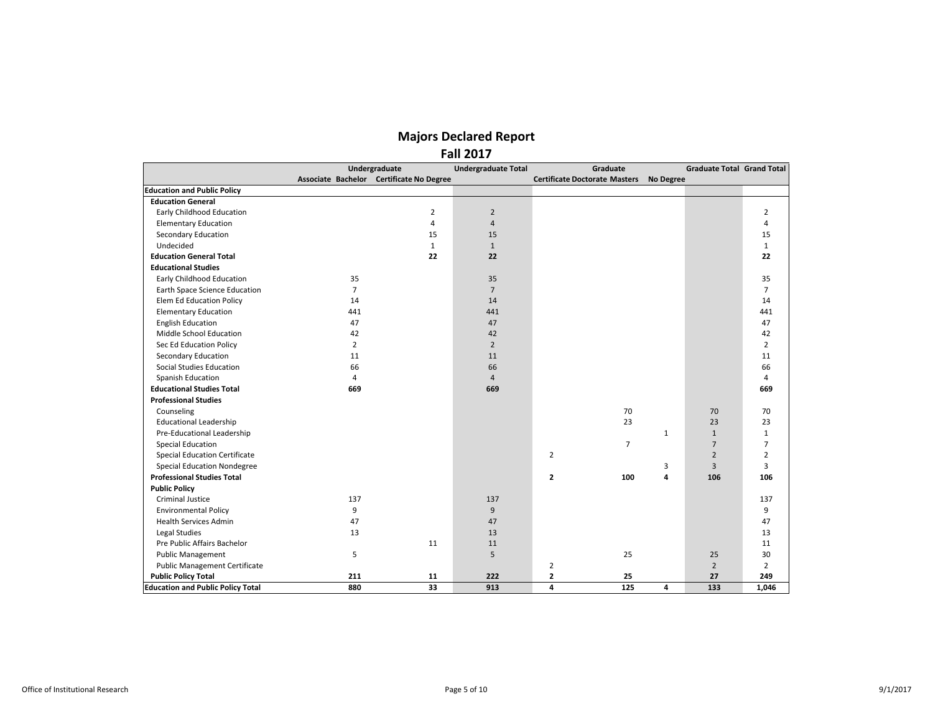|                                          |                | Undergraduate                            | <b>Undergraduate Total</b> | Graduate                             |                  | <b>Graduate Total Grand Total</b> |                |
|------------------------------------------|----------------|------------------------------------------|----------------------------|--------------------------------------|------------------|-----------------------------------|----------------|
|                                          |                | Associate Bachelor Certificate No Degree |                            | <b>Certificate Doctorate Masters</b> | <b>No Degree</b> |                                   |                |
| <b>Education and Public Policy</b>       |                |                                          |                            |                                      |                  |                                   |                |
| <b>Education General</b>                 |                |                                          |                            |                                      |                  |                                   |                |
| Early Childhood Education                |                | 2                                        | $\overline{2}$             |                                      |                  |                                   | 2              |
| <b>Elementary Education</b>              |                | $\overline{4}$                           | $\overline{4}$             |                                      |                  |                                   | 4              |
| Secondary Education                      |                | 15                                       | 15                         |                                      |                  |                                   | 15             |
| Undecided                                |                | $\mathbf{1}$                             | $\mathbf{1}$               |                                      |                  |                                   | $\mathbf{1}$   |
| <b>Education General Total</b>           |                | 22                                       | 22                         |                                      |                  |                                   | 22             |
| <b>Educational Studies</b>               |                |                                          |                            |                                      |                  |                                   |                |
| Early Childhood Education                | 35             |                                          | 35                         |                                      |                  |                                   | 35             |
| Earth Space Science Education            | $\overline{7}$ |                                          | $7\overline{ }$            |                                      |                  |                                   | $\overline{7}$ |
| Elem Ed Education Policy                 | 14             |                                          | 14                         |                                      |                  |                                   | 14             |
| <b>Elementary Education</b>              | 441            |                                          | 441                        |                                      |                  |                                   | 441            |
| <b>English Education</b>                 | 47             |                                          | 47                         |                                      |                  |                                   | 47             |
| Middle School Education                  | 42             |                                          | 42                         |                                      |                  |                                   | 42             |
| Sec Ed Education Policy                  | $\overline{2}$ |                                          | $\overline{2}$             |                                      |                  |                                   | $\overline{2}$ |
| <b>Secondary Education</b>               | 11             |                                          | 11                         |                                      |                  |                                   | 11             |
| <b>Social Studies Education</b>          | 66             |                                          | 66                         |                                      |                  |                                   | 66             |
| Spanish Education                        | 4              |                                          | $\overline{4}$             |                                      |                  |                                   | 4              |
| <b>Educational Studies Total</b>         | 669            |                                          | 669                        |                                      |                  |                                   | 669            |
| <b>Professional Studies</b>              |                |                                          |                            |                                      |                  |                                   |                |
| Counseling                               |                |                                          |                            | 70                                   |                  | 70                                | 70             |
| <b>Educational Leadership</b>            |                |                                          |                            | 23                                   |                  | 23                                | 23             |
| Pre-Educational Leadership               |                |                                          |                            |                                      | $\mathbf{1}$     | $\mathbf{1}$                      | $\mathbf{1}$   |
| <b>Special Education</b>                 |                |                                          |                            | $\overline{7}$                       |                  | $\overline{7}$                    | $\overline{7}$ |
| <b>Special Education Certificate</b>     |                |                                          |                            | $\overline{2}$                       |                  | $\overline{2}$                    | $\overline{2}$ |
| <b>Special Education Nondegree</b>       |                |                                          |                            |                                      | 3                | 3                                 | 3              |
| <b>Professional Studies Total</b>        |                |                                          |                            | $\overline{2}$<br>100                | 4                | 106                               | 106            |
| <b>Public Policy</b>                     |                |                                          |                            |                                      |                  |                                   |                |
| <b>Criminal Justice</b>                  | 137            |                                          | 137                        |                                      |                  |                                   | 137            |
| <b>Environmental Policy</b>              | 9              |                                          | 9                          |                                      |                  |                                   | 9              |
| <b>Health Services Admin</b>             | 47             |                                          | 47                         |                                      |                  |                                   | 47             |
| Legal Studies                            | 13             |                                          | 13                         |                                      |                  |                                   | 13             |
| Pre Public Affairs Bachelor              |                | 11                                       | 11                         |                                      |                  |                                   | 11             |
| <b>Public Management</b>                 | 5              |                                          | 5                          | 25                                   |                  | 25                                | 30             |
| <b>Public Management Certificate</b>     |                |                                          |                            | $\overline{2}$                       |                  | $\overline{2}$                    | $\overline{2}$ |
| <b>Public Policy Total</b>               | 211            | 11                                       | 222                        | $\mathbf{2}$<br>25                   |                  | 27                                | 249            |
| <b>Education and Public Policy Total</b> | 880            | 33                                       | 913                        | 4<br>125                             | 4                | 133                               | 1,046          |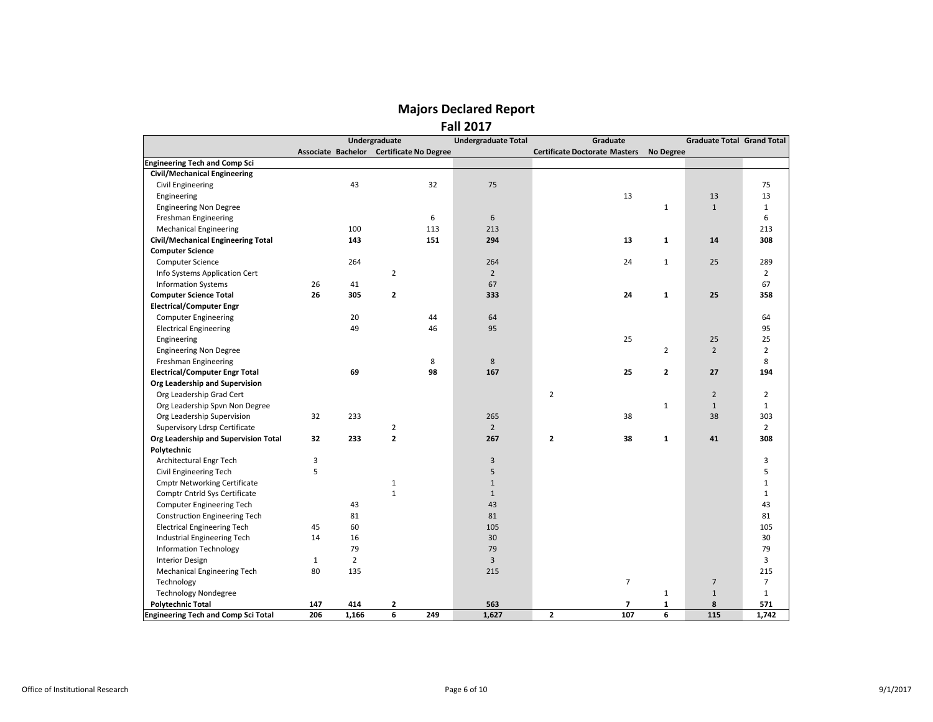|                                            |              |                | Undergraduate                            |     | <b>Undergraduate Total</b> | Graduate                             |                  | <b>Graduate Total Grand Total</b> |                |
|--------------------------------------------|--------------|----------------|------------------------------------------|-----|----------------------------|--------------------------------------|------------------|-----------------------------------|----------------|
|                                            |              |                | Associate Bachelor Certificate No Degree |     |                            | <b>Certificate Doctorate Masters</b> | <b>No Degree</b> |                                   |                |
| <b>Engineering Tech and Comp Sci</b>       |              |                |                                          |     |                            |                                      |                  |                                   |                |
| <b>Civil/Mechanical Engineering</b>        |              |                |                                          |     |                            |                                      |                  |                                   |                |
| Civil Engineering                          |              | 43             |                                          | 32  | 75                         |                                      |                  |                                   | 75             |
| Engineering                                |              |                |                                          |     |                            | 13                                   |                  | 13                                | 13             |
| <b>Engineering Non Degree</b>              |              |                |                                          |     |                            |                                      | $\mathbf{1}$     | $\mathbf{1}$                      | $\mathbf{1}$   |
| Freshman Engineering                       |              |                |                                          | 6   | 6                          |                                      |                  |                                   | 6              |
| <b>Mechanical Engineering</b>              |              | 100            |                                          | 113 | 213                        |                                      |                  |                                   | 213            |
| <b>Civil/Mechanical Engineering Total</b>  |              | 143            |                                          | 151 | 294                        | 13                                   | $\mathbf{1}$     | 14                                | 308            |
| <b>Computer Science</b>                    |              |                |                                          |     |                            |                                      |                  |                                   |                |
| <b>Computer Science</b>                    |              | 264            |                                          |     | 264                        | 24                                   | $\mathbf{1}$     | 25                                | 289            |
| Info Systems Application Cert              |              |                | $\overline{2}$                           |     | $\overline{2}$             |                                      |                  |                                   | $\overline{2}$ |
| <b>Information Systems</b>                 | 26           | 41             |                                          |     | 67                         |                                      |                  |                                   | 67             |
| <b>Computer Science Total</b>              | 26           | 305            | $\mathbf{2}$                             |     | 333                        | 24                                   | $\mathbf{1}$     | 25                                | 358            |
| <b>Electrical/Computer Engr</b>            |              |                |                                          |     |                            |                                      |                  |                                   |                |
| <b>Computer Engineering</b>                |              | 20             |                                          | 44  | 64                         |                                      |                  |                                   | 64             |
| <b>Electrical Engineering</b>              |              | 49             |                                          | 46  | 95                         |                                      |                  |                                   | 95             |
| Engineering                                |              |                |                                          |     |                            | 25                                   |                  | 25                                | 25             |
| <b>Engineering Non Degree</b>              |              |                |                                          |     |                            |                                      | $\overline{2}$   | $\overline{2}$                    | $\overline{2}$ |
| Freshman Engineering                       |              |                |                                          | 8   | $\,8\,$                    |                                      |                  |                                   | 8              |
| <b>Electrical/Computer Engr Total</b>      |              | 69             |                                          | 98  | 167                        | 25                                   | $\mathbf{2}$     | 27                                | 194            |
| Org Leadership and Supervision             |              |                |                                          |     |                            |                                      |                  |                                   |                |
| Org Leadership Grad Cert                   |              |                |                                          |     |                            | $\overline{2}$                       |                  | $\overline{2}$                    | $\overline{2}$ |
| Org Leadership Spvn Non Degree             |              |                |                                          |     |                            |                                      | $\mathbf{1}$     | $\mathbf{1}$                      | $\mathbf{1}$   |
| Org Leadership Supervision                 | 32           | 233            |                                          |     | 265                        | 38                                   |                  | 38                                | 303            |
| Supervisory Ldrsp Certificate              |              |                | $\overline{2}$                           |     | $\overline{2}$             |                                      |                  |                                   | $\overline{2}$ |
| Org Leadership and Supervision Total       | 32           | 233            | $\overline{2}$                           |     | 267                        | $\overline{\mathbf{2}}$<br>38        | $\mathbf{1}$     | 41                                | 308            |
| Polytechnic                                |              |                |                                          |     |                            |                                      |                  |                                   |                |
| Architectural Engr Tech                    | 3            |                |                                          |     | 3                          |                                      |                  |                                   | 3              |
| Civil Engineering Tech                     | 5            |                |                                          |     | $\sqrt{5}$                 |                                      |                  |                                   | 5              |
| <b>Cmptr Networking Certificate</b>        |              |                | $\mathbf{1}$                             |     | $\mathbf{1}$               |                                      |                  |                                   | $\mathbf{1}$   |
| Comptr Cntrld Sys Certificate              |              |                | $\mathbf{1}$                             |     | $\mathbf{1}$               |                                      |                  |                                   | $\mathbf{1}$   |
| Computer Engineering Tech                  |              | 43             |                                          |     | 43                         |                                      |                  |                                   | 43             |
| <b>Construction Engineering Tech</b>       |              | 81             |                                          |     | 81                         |                                      |                  |                                   | 81             |
| <b>Electrical Engineering Tech</b>         | 45           | 60             |                                          |     | 105                        |                                      |                  |                                   | 105            |
| Industrial Engineering Tech                | 14           | 16             |                                          |     | 30                         |                                      |                  |                                   | 30             |
| <b>Information Technology</b>              |              | 79             |                                          |     | 79                         |                                      |                  |                                   | 79             |
| <b>Interior Design</b>                     | $\mathbf{1}$ | $\overline{2}$ |                                          |     | $\overline{3}$             |                                      |                  |                                   | 3              |
| Mechanical Engineering Tech                | 80           | 135            |                                          |     | 215                        |                                      |                  |                                   | 215            |
| Technology                                 |              |                |                                          |     |                            | $\overline{7}$                       |                  | $\overline{7}$                    | $\overline{7}$ |
| <b>Technology Nondegree</b>                |              |                |                                          |     |                            |                                      | $\mathbf{1}$     | $\mathbf{1}$                      | $\mathbf{1}$   |
| <b>Polytechnic Total</b>                   | 147          | 414            | 2                                        |     | 563                        | $\overline{\phantom{a}}$             | $\mathbf{1}$     | 8                                 | 571            |
| <b>Engineering Tech and Comp Sci Total</b> | 206          | 1,166          | 6                                        | 249 | 1,627                      | $\overline{\mathbf{2}}$<br>107       | 6                | 115                               | 1,742          |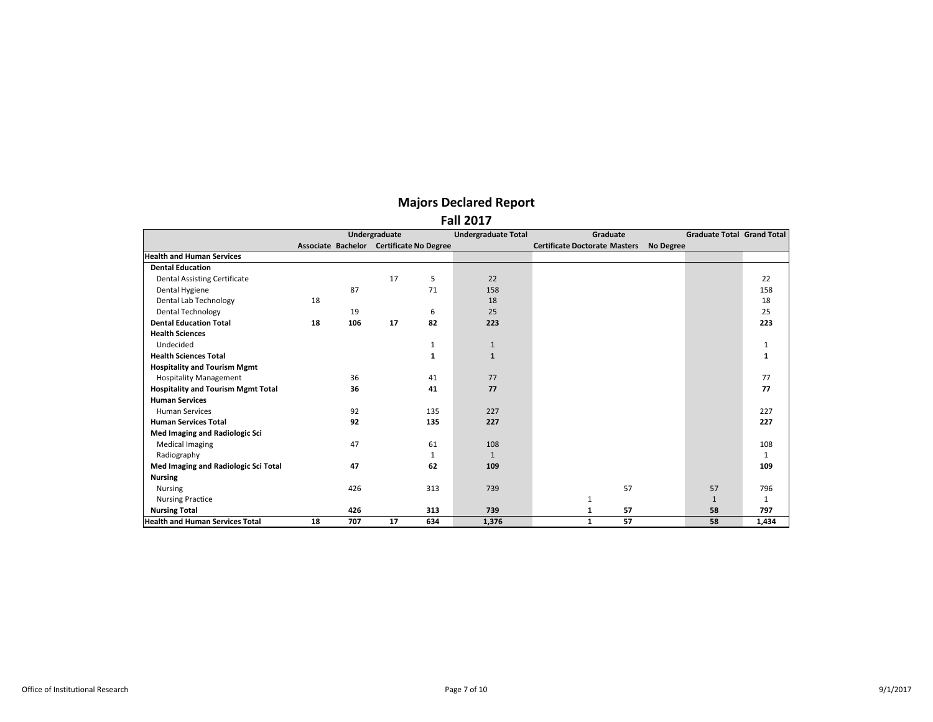|                                           |    |     | Undergraduate |                                          | <b>Undergraduate Total</b> | Graduate                             |                  | <b>Graduate Total Grand Total</b> |              |
|-------------------------------------------|----|-----|---------------|------------------------------------------|----------------------------|--------------------------------------|------------------|-----------------------------------|--------------|
|                                           |    |     |               | Associate Bachelor Certificate No Degree |                            | <b>Certificate Doctorate Masters</b> | <b>No Degree</b> |                                   |              |
| <b>Health and Human Services</b>          |    |     |               |                                          |                            |                                      |                  |                                   |              |
| <b>Dental Education</b>                   |    |     |               |                                          |                            |                                      |                  |                                   |              |
| <b>Dental Assisting Certificate</b>       |    |     | 17            | 5                                        | 22                         |                                      |                  |                                   | 22           |
| Dental Hygiene                            |    | 87  |               | 71                                       | 158                        |                                      |                  |                                   | 158          |
| Dental Lab Technology                     | 18 |     |               |                                          | 18                         |                                      |                  |                                   | 18           |
| <b>Dental Technology</b>                  |    | 19  |               | 6                                        | 25                         |                                      |                  |                                   | 25           |
| <b>Dental Education Total</b>             | 18 | 106 | 17            | 82                                       | 223                        |                                      |                  |                                   | 223          |
| <b>Health Sciences</b>                    |    |     |               |                                          |                            |                                      |                  |                                   |              |
| Undecided                                 |    |     |               | 1                                        | $\mathbf{1}$               |                                      |                  |                                   | 1            |
| <b>Health Sciences Total</b>              |    |     |               | 1                                        | $\mathbf{1}$               |                                      |                  |                                   |              |
| <b>Hospitality and Tourism Mgmt</b>       |    |     |               |                                          |                            |                                      |                  |                                   |              |
| <b>Hospitality Management</b>             |    | 36  |               | 41                                       | 77                         |                                      |                  |                                   | 77           |
| <b>Hospitality and Tourism Mgmt Total</b> |    | 36  |               | 41                                       | 77                         |                                      |                  |                                   | 77           |
| <b>Human Services</b>                     |    |     |               |                                          |                            |                                      |                  |                                   |              |
| <b>Human Services</b>                     |    | 92  |               | 135                                      | 227                        |                                      |                  |                                   | 227          |
| <b>Human Services Total</b>               |    | 92  |               | 135                                      | 227                        |                                      |                  |                                   | 227          |
| Med Imaging and Radiologic Sci            |    |     |               |                                          |                            |                                      |                  |                                   |              |
| <b>Medical Imaging</b>                    |    | 47  |               | 61                                       | 108                        |                                      |                  |                                   | 108          |
| Radiography                               |    |     |               | 1                                        | $\mathbf{1}$               |                                      |                  |                                   | $\mathbf{1}$ |
| Med Imaging and Radiologic Sci Total      |    | 47  |               | 62                                       | 109                        |                                      |                  |                                   | 109          |
| <b>Nursing</b>                            |    |     |               |                                          |                            |                                      |                  |                                   |              |
| <b>Nursing</b>                            |    | 426 |               | 313                                      | 739                        | 57                                   |                  | 57                                | 796          |
| <b>Nursing Practice</b>                   |    |     |               |                                          |                            | 1                                    |                  | $\mathbf{1}$                      | $\mathbf{1}$ |
| <b>Nursing Total</b>                      |    | 426 |               | 313                                      | 739                        | 57<br>1                              |                  | 58                                | 797          |
| <b>Health and Human Services Total</b>    | 18 | 707 | 17            | 634                                      | 1,376                      | 57<br>$\mathbf{1}$                   |                  | 58                                | 1,434        |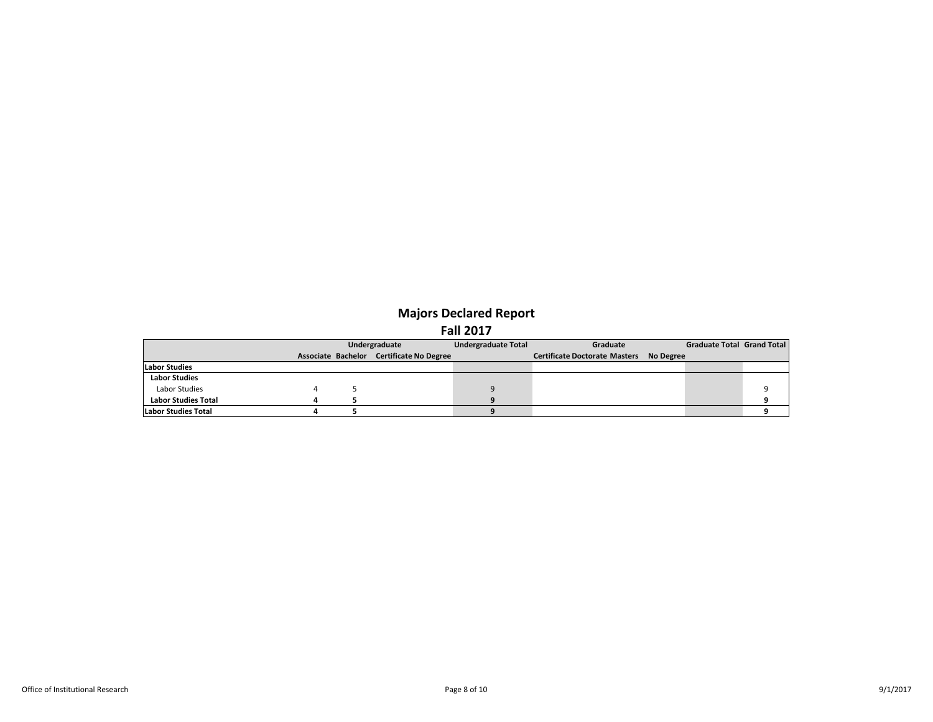|                            | Undergraduate |                                          | Undergraduate Total | Graduate                                |  | <b>Graduate Total Grand Total</b> |  |
|----------------------------|---------------|------------------------------------------|---------------------|-----------------------------------------|--|-----------------------------------|--|
|                            |               | Associate Bachelor Certificate No Degree |                     | Certificate Doctorate Masters No Degree |  |                                   |  |
| <b>Labor Studies</b>       |               |                                          |                     |                                         |  |                                   |  |
| <b>Labor Studies</b>       |               |                                          |                     |                                         |  |                                   |  |
| Labor Studies              |               |                                          |                     |                                         |  |                                   |  |
| <b>Labor Studies Total</b> |               |                                          |                     |                                         |  |                                   |  |
| Labor Studies Total        |               |                                          |                     |                                         |  |                                   |  |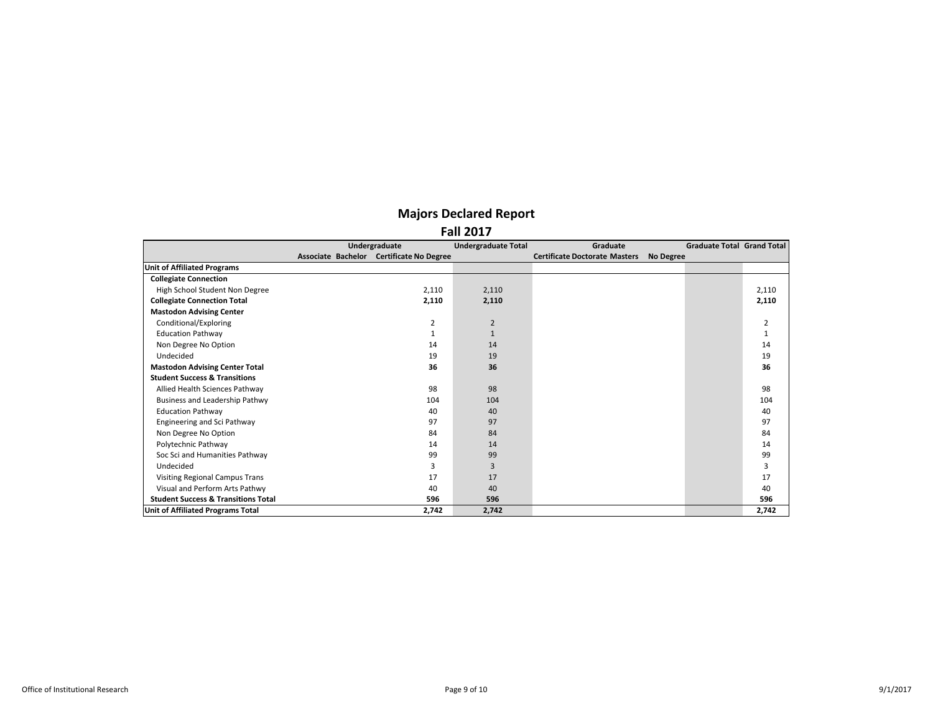|                                                | Undergraduate                            | <b>Undergraduate Total</b> | Graduate                             |           | Graduate Total Grand Total |       |
|------------------------------------------------|------------------------------------------|----------------------------|--------------------------------------|-----------|----------------------------|-------|
|                                                | Associate Bachelor Certificate No Degree |                            | <b>Certificate Doctorate Masters</b> | No Degree |                            |       |
| <b>Unit of Affiliated Programs</b>             |                                          |                            |                                      |           |                            |       |
| <b>Collegiate Connection</b>                   |                                          |                            |                                      |           |                            |       |
| High School Student Non Degree                 | 2,110                                    | 2,110                      |                                      |           |                            | 2,110 |
| <b>Collegiate Connection Total</b>             | 2,110                                    | 2,110                      |                                      |           |                            | 2,110 |
| <b>Mastodon Advising Center</b>                |                                          |                            |                                      |           |                            |       |
| Conditional/Exploring                          | $\overline{2}$                           | $\overline{2}$             |                                      |           |                            | 2     |
| <b>Education Pathway</b>                       | 1                                        |                            |                                      |           |                            |       |
| Non Degree No Option                           | 14                                       | 14                         |                                      |           |                            | 14    |
| Undecided                                      | 19                                       | 19                         |                                      |           |                            | 19    |
| <b>Mastodon Advising Center Total</b>          | 36                                       | 36                         |                                      |           |                            | 36    |
| <b>Student Success &amp; Transitions</b>       |                                          |                            |                                      |           |                            |       |
| Allied Health Sciences Pathway                 | 98                                       | 98                         |                                      |           |                            | 98    |
| Business and Leadership Pathwy                 | 104                                      | 104                        |                                      |           |                            | 104   |
| <b>Education Pathway</b>                       | 40                                       | 40                         |                                      |           |                            | 40    |
| <b>Engineering and Sci Pathway</b>             | 97                                       | 97                         |                                      |           |                            | 97    |
| Non Degree No Option                           | 84                                       | 84                         |                                      |           |                            | 84    |
| Polytechnic Pathway                            | 14                                       | 14                         |                                      |           |                            | 14    |
| Soc Sci and Humanities Pathway                 | 99                                       | 99                         |                                      |           |                            | 99    |
| Undecided                                      | 3                                        | 3                          |                                      |           |                            | 3     |
| <b>Visiting Regional Campus Trans</b>          | 17                                       | 17                         |                                      |           |                            | 17    |
| Visual and Perform Arts Pathwy                 | 40                                       | 40                         |                                      |           |                            | 40    |
| <b>Student Success &amp; Transitions Total</b> | 596                                      | 596                        |                                      |           |                            | 596   |
| Unit of Affiliated Programs Total              | 2.742                                    | 2,742                      |                                      |           |                            | 2,742 |